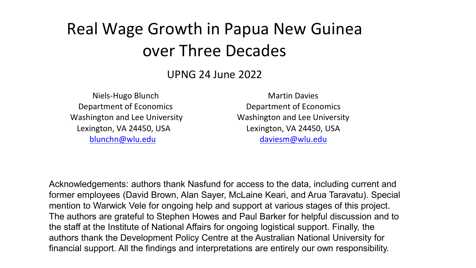## Real Wage Growth in Papua New Guinea over Three Decades

UPNG 24 June 2022

 Niels-Hugo Blunch Department of Economics Washington and Lee University Lexington, VA 24450, USA blunchn@wlu.edu

Martin Davies Department of Economics Washington and Lee University Lexington, VA 24450, USA daviesm@wlu.edu

Acknowledgements: authors thank Nasfund for access to the data, including current and former employees (David Brown, Alan Sayer, McLaine Keari, and Arua Taravatu). Special mention to Warwick Vele for ongoing help and support at various stages of this project. The authors are grateful to Stephen Howes and Paul Barker for helpful discussion and to the staff at the Institute of National Affairs for ongoing logistical support. Finally, the authors thank the Development Policy Centre at the Australian National University for financial support. All the findings and interpretations are entirely our own responsibility.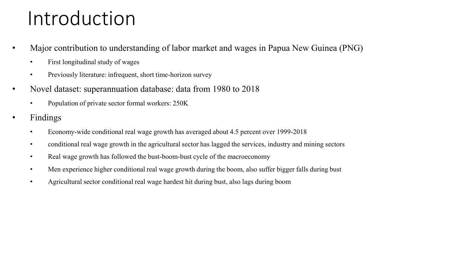# Introduction

- Major contribution to understanding of labor market and wages in Papua New Guinea (PNG)
	- First longitudinal study of wages
	- Previously literature: infrequent, short time-horizon survey
- Novel dataset: superannuation database: data from 1980 to 2018
	- Population of private sector formal workers: 250K
- Findings
	- Economy-wide conditional real wage growth has averaged about 4.5 percent over 1999-2018
	- conditional real wage growth in the agricultural sector has lagged the services, industry and mining sectors
	- Real wage growth has followed the bust-boom-bust cycle of the macroeconomy
	- Men experience higher conditional real wage growth during the boom, also suffer bigger falls during bust
	- Agricultural sector conditional real wage hardest hit during bust, also lags during boom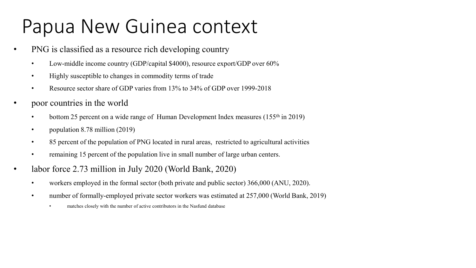# Papua New Guinea context

- PNG is classified as a resource rich developing country
	- Low-middle income country (GDP/capital \$4000), resource export/GDP over 60%
	- Highly susceptible to changes in commodity terms of trade
	- Resource sector share of GDP varies from 13% to 34% of GDP over 1999-2018
- poor countries in the world
	- bottom 25 percent on a wide range of Human Development Index measures  $(155<sup>th</sup>$  in 2019)
	- population 8.78 million (2019)
	- 85 percent of the population of PNG located in rural areas, restricted to agricultural activities
	- remaining 15 percent of the population live in small number of large urban centers.
- labor force 2.73 million in July 2020 (World Bank, 2020)
	- workers employed in the formal sector (both private and public sector) 366,000 (ANU, 2020).
	- number of formally-employed private sector workers was estimated at 257,000 (World Bank, 2019)
		- matches closely with the number of active contributors in the Nasfund database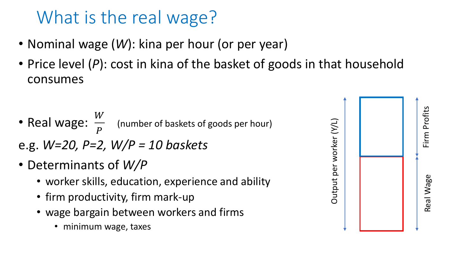# What is the real wage?

- Nominal wage (*W*): kina per hour (or per year)
- Price level (P): cost in kina of the basket of goods in that household consumes
- Real wage:  $\frac{W}{R}$  $\overline{P}$  (number of baskets of goods per hour)
- e.g. *W=20, P=2, W/P = 10 baskets*
- Determinants of *W/P*
	- worker skills, education, experience and ability
	- firm productivity, firm mark-up
	- wage bargain between workers and firms
		- minimum wage, taxes

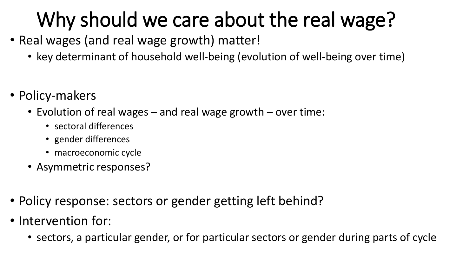# Why should we care about the real wage?

- Real wages (and real wage growth) matter!
	- key determinant of household well-being (evolution of well-being over time)
- Policy-makers
	- Evolution of real wages and real wage growth over time:
		- sectoral differences
		- gender differences
		- macroeconomic cycle
	- Asymmetric responses?
- Policy response: sectors or gender getting left behind?
- Intervention for:
	- sectors, a particular gender, or for particular sectors or gender during parts of cycle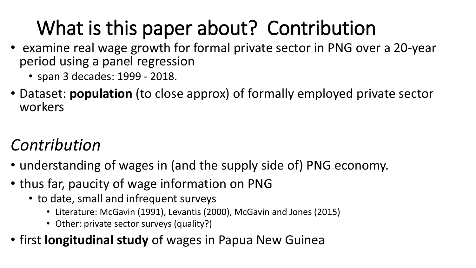# What is this paper about? Contribution

- examine real wage growth for formal private sector in PNG over a 20-year period using a panel regression
	- span 3 decades: 1999 2018.
- Dataset: **population** (to close approx) of formally employed private sector workers

### *Contribution*

- understanding of wages in (and the supply side of) PNG economy.
- thus far, paucity of wage information on PNG
	- to date, small and infrequent surveys
		- Literature: McGavin (1991), Levantis (2000), McGavin and Jones (2015)
		- Other: private sector surveys (quality?)
- first **longitudinal study** of wages in Papua New Guinea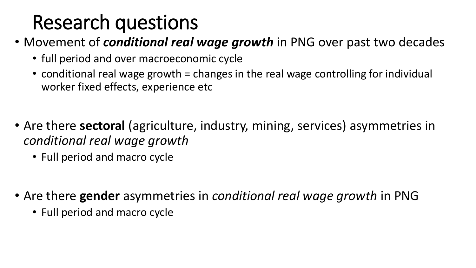# Research questions

- Movement of *conditional real wage growth* in PNG over past two decades
	- full period and over macroeconomic cycle
	- conditional real wage growth = changes in the real wage controlling for individual worker fixed effects, experience etc
- Are there **sectoral** (agriculture, industry, mining, services) asymmetries in *conditional real wage growth* 
	- Full period and macro cycle
- Are there **gender** asymmetries in *conditional real wage growth* in PNG
	- Full period and macro cycle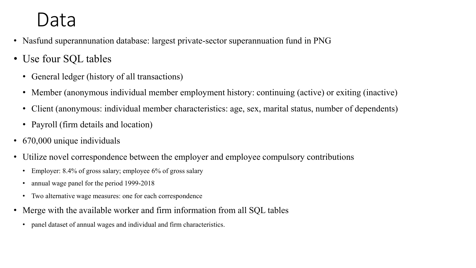## Data

- Nasfund superannunation database: largest private-sector superannuation fund in PNG
- Use four SQL tables
	- General ledger (history of all transactions)
	- Member (anonymous individual member employment history: continuing (active) or exiting (inactive)
	- Client (anonymous: individual member characteristics: age, sex, marital status, number of dependents)
	- Payroll (firm details and location)
- 670,000 unique individuals
- Utilize novel correspondence between the employer and employee compulsory contributions
	- Employer: 8.4% of gross salary; employee 6% of gross salary
	- annual wage panel for the period 1999-2018
	- Two alternative wage measures: one for each correspondence
- Merge with the available worker and firm information from all SQL tables
	- panel dataset of annual wages and individual and firm characteristics.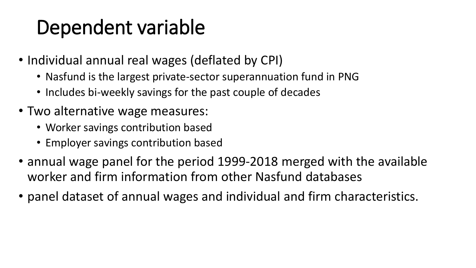# Dependent variable

- Individual annual real wages (deflated by CPI)
	- Nasfund is the largest private-sector superannuation fund in PNG
	- Includes bi-weekly savings for the past couple of decades
- Two alternative wage measures:
	- Worker savings contribution based
	- Employer savings contribution based
- annual wage panel for the period 1999-2018 merged with the available worker and firm information from other Nasfund databases
- panel dataset of annual wages and individual and firm characteristics.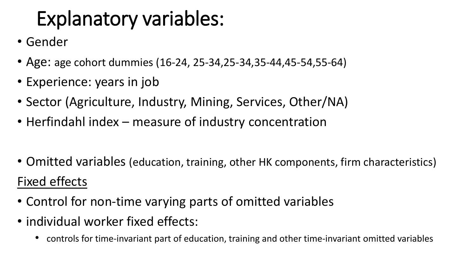# Explanatory variables:

- Gender
- Age: age cohort dummies (16-24, 25-34,25-34,35-44,45-54,55-64)
- Experience: years in job
- Sector (Agriculture, Industry, Mining, Services, Other/NA)
- Herfindahl index measure of industry concentration
- Omitted variables (education, training, other HK components, firm characteristics) Fixed effects
- Control for non-time varying parts of omitted variables
- individual worker fixed effects:
	- controls for time-invariant part of education, training and other time-invariant omitted variables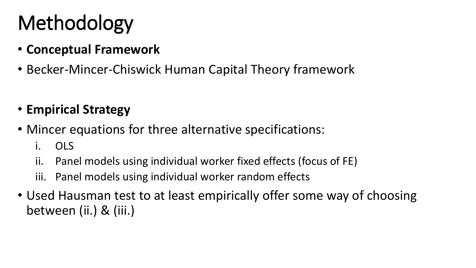# Methodology

- **Conceptual Framework**
- Becker-Mincer-Chiswick Human Capital Theory framework

### • **Empirical Strategy**

- Mincer equations for three alternative specifications:
	- i. OLS
	- ii. Panel models using individual worker fixed effects (focus of FE)
	- iii. Panel models using individual worker random effects
- Used Hausman test to at least empirically offer some way of choosing between (ii.) & (iii.)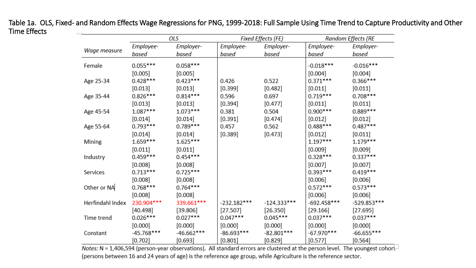#### Table 1a. OLS, Fixed- and Random Effects Wage Regressions for PNG, 1999-2018: Full Sample Using Time Trend to Capture Productivity and Other Time Effects

|                  | OLS          |              |               | Fixed Effects (FE) | Random Effects (RE |               |  |
|------------------|--------------|--------------|---------------|--------------------|--------------------|---------------|--|
|                  | Employee-    | Employer-    | Employee-     | Employer-          | Employee-          | Employer-     |  |
| Wage measure     | based        | based        | based         | based              | based              | based         |  |
| Female           | $0.055***$   | $0.058***$   |               |                    | $-0.018***$        | $-0.016***$   |  |
|                  | [0.005]      | [0.005]      |               |                    | $[0.004]$          | [0.004]       |  |
| Age 25-34        | $0.428***$   | $0.423***$   | 0.426         | 0.522              | $0.371***$         | $0.366***$    |  |
|                  | $[0.013]$    | [0.013]      | [0.399]       | [0.482]            | $[0.011]$          | $[0.011]$     |  |
| Age 35-44        | $0.826***$   | $0.814***$   | 0.596         | 0.697              | $0.719***$         | $0.708***$    |  |
|                  | $[0.013]$    | $[0.013]$    | [0.394]       | [0.477]            | $[0.011]$          | [0.011]       |  |
| Age 45-54        | $1.087***$   | $1.073***$   | 0.381         | 0.504              | $0.900***$         | $0.889***$    |  |
|                  | $[0.014]$    | [0.014]      | [0.391]       | [0.474]            | [0.012]            | $[0.012]$     |  |
| Age 55-64        | $0.793***$   | $0.789***$   | 0.457         | 0.562              | $0.488***$         | $0.487***$    |  |
|                  | $[0.014]$    | $[0.014]$    | [0.389]       | [0.473]            | $[0.012]$          | [0.011]       |  |
| Mining           | $1.659***$   | $1.625***$   |               |                    | $1.197***$         | $1.179***$    |  |
|                  | $[0.011]$    | [0.011]      |               |                    | [0.009]            | $[0.009]$     |  |
| Industry         | $0.459***$   | $0.454***$   |               |                    | $0.328***$         | $0.337***$    |  |
|                  | [0.008]      | [0.008]      |               |                    | [0.007]            | $[0.007]$     |  |
| Services         | $0.713***$   | $0.725***$   |               |                    | $0.393***$         | $0.419***$    |  |
|                  | [0.008]      | [0.008]      |               |                    | [0.006]            | [0.006]       |  |
| Other or NA      | $0.768***$   | $0.764***$   |               |                    | $0.572***$         | $0.573***$    |  |
|                  | [0.008]      | [0.008]      |               |                    | [0.006]            | [0.006]       |  |
| Herfindahl Index | 230.904***   | 339.661***   | $-232.182***$ | $-124.333***$      | $-692.458***$      | $-529.853***$ |  |
|                  | [40.498]     | [39.806]     | [27.507]      | [26.350]           | [29.166]           | [27.695]      |  |
| Time trend       | $0.026***$   | $0.027***$   | $0.047***$    | $0.045***$         | $0.037***$         | $0.037***$    |  |
|                  | [0.000]      | [0.000]      | [0.000]       | [0.000]            | [0.000]            | [0.000]       |  |
| Constant         | $-45.768***$ | $-46.662***$ | $-86.693***$  | $-82.801***$       | $-67.970***$       | $-66.655***$  |  |
|                  | [0.702]      | [0.693]      | $[0.801]$     | [0.829]            | $[0.577]$          | $[0.564]$     |  |

Notes:  $N = 1,406,594$  (person-year observations). All standard errors are clustered at the person level. The youngest cohor $\Box$ (persons between 16 and 24 years of age) is the reference age group, while Agriculture is the reference sector.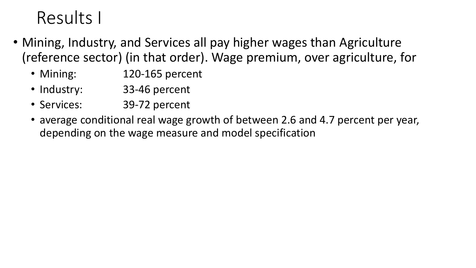## Results I

- Mining, Industry, and Services all pay higher wages than Agriculture (reference sector) (in that order). Wage premium, over agriculture, for
	- Mining: 120-165 percent
	- Industry: 33-46 percent
	- Services: 39-72 percent
	- average conditional real wage growth of between 2.6 and 4.7 percent per year, depending on the wage measure and model specification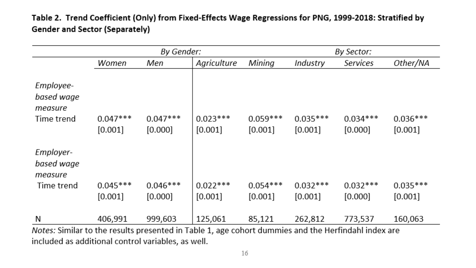Table 2. Trend Coefficient (Only) from Fixed-Effects Wage Regressions for PNG, 1999-2018: Stratified by **Gender and Sector (Separately)** 

|                                                                                                           |                       | By Gender:            |                       | By Sector:            |                       |                       |                       |
|-----------------------------------------------------------------------------------------------------------|-----------------------|-----------------------|-----------------------|-----------------------|-----------------------|-----------------------|-----------------------|
|                                                                                                           | Women                 | Men                   | Agriculture           | Mining                | Industry              | Services              | Other/NA              |
| Employee-<br>based wage<br>measure<br>Time trend                                                          | $0.047***$<br>[0.001] | $0.047***$<br>[0.000] | $0.023***$<br>[0.001] | $0.059***$<br>[0.001] | $0.035***$<br>[0.001] | $0.034***$<br>[0.000] | $0.036***$<br>[0.001] |
| Employer-<br>based wage<br>measure                                                                        |                       |                       |                       |                       |                       |                       |                       |
| Time trend                                                                                                | $0.045***$<br>[0.001] | $0.046***$<br>[0.000] | $0.022***$<br>[0.001] | $0.054***$<br>[0.001] | $0.032***$<br>[0.001] | $0.032***$<br>[0.000] | $0.035***$<br>[0.001] |
| N<br>Natas: Cincilar te the results presented in Table 1, age sobort dummins and the Harfindeld index are | 406,991               | 999,603               | 125,061               | 85,121                | 262,812               | 773,537               | 160,063               |

Notes: Similar to the results presented in Table 1, age cohort dummies and the Herfindahl index are included as additional control variables, as well.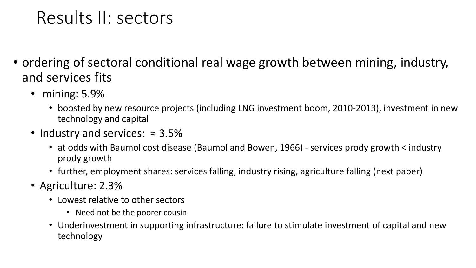### Results II: sectors

- ordering of sectoral conditional real wage growth between mining, industry, and services fits
	- mining: 5.9%
		- boosted by new resource projects (including LNG investment boom, 2010-2013), investment in new technology and capital
	- Industry and services: ≈ 3.5%
		- at odds with Baumol cost disease (Baumol and Bowen, 1966) services prody growth < industry prody growth
		- further, employment shares: services falling, industry rising, agriculture falling (next paper)
	- Agriculture: 2.3%
		- Lowest relative to other sectors
			- Need not be the poorer cousin
		- Underinvestment in supporting infrastructure: failure to stimulate investment of capital and new technology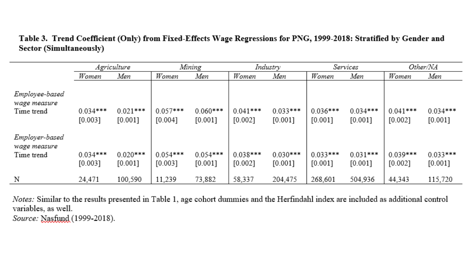#### Table 3. Trend Coefficient (Only) from Fixed-Effects Wage Regressions for PNG, 1999-2018: Stratified by Gender and **Sector (Simultaneously)**

|                                              | Agriculture           |                         | Mining                |                       | Industry              |                       | Services                |                       | Other/NA              |                       |
|----------------------------------------------|-----------------------|-------------------------|-----------------------|-----------------------|-----------------------|-----------------------|-------------------------|-----------------------|-----------------------|-----------------------|
|                                              | Women                 | Men                     | Women                 | Men                   | Women                 | Men                   | Women                   | Men                   | Women                 | Men                   |
| Employee-based<br>wage measure<br>Time trend | $0.034***$<br>[0.003] | $0.021***$<br>$[0.001]$ | $0.057***$<br>[0.004] | $0.060***$<br>[0.001] | $0.041***$<br>[0.002] | $0.033***$<br>[0.001] | $0.036***$<br>$[0.001]$ | $0.034***$<br>[0.001] | $0.041***$<br>[0.002] | $0.034***$<br>[0.001] |
| Employer-based                               |                       |                         |                       |                       |                       |                       |                         |                       |                       |                       |
| wage measure                                 |                       |                         |                       |                       |                       |                       |                         |                       |                       |                       |
| Time trend                                   | $0.034***$            | $0.020***$              | $0.054***$            | $0.054***$            | $0.038***$            | $0.030***$            | $0.033***$              | $0.031***$            | $0.039***$            | $0.033***$            |
|                                              | [0.003]               | [0.001]                 | [0.003]               | [0.001]               | $[0.002]$             | [0.001]               | $[0.001]$               | [0.001]               | [0.002]               | [0.001]               |
| N                                            | 24,471                | 100,590                 | 11,239                | 73,882                | 58,337                | 204,475               | 268,601                 | 504,936               | 44,343                | 115,720               |

Notes: Similar to the results presented in Table 1, age cohort dummies and the Herfindahl index are included as additional control variables, as well.

Source: Nasfund (1999-2018).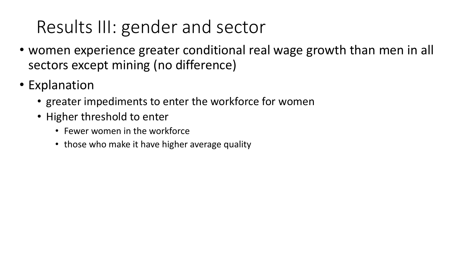## Results III: gender and sector

- women experience greater conditional real wage growth than men in all sectors except mining (no difference)
- Explanation
	- greater impediments to enter the workforce for women
	- Higher threshold to enter
		- Fewer women in the workforce
		- those who make it have higher average quality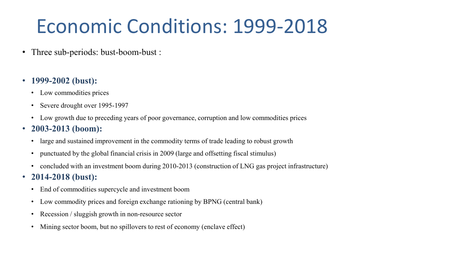# Economic Conditions: 1999-2018

• Three sub-periods: bust-boom-bust :

#### • **1999-2002 (bust):**

- Low commodities prices
- Severe drought over 1995-1997
- Low growth due to preceding years of poor governance, corruption and low commodities prices
- **2003-2013 (boom):** 
	- large and sustained improvement in the commodity terms of trade leading to robust growth
	- punctuated by the global financial crisis in 2009 (large and offsetting fiscal stimulus)
	- concluded with an investment boom during 2010-2013 (construction of LNG gas project infrastructure)
- **2014-2018 (bust):**
	- End of commodities supercycle and investment boom
	- Low commodity prices and foreign exchange rationing by BPNG (central bank)
	- Recession / sluggish growth in non-resource sector
	- Mining sector boom, but no spillovers to rest of economy (enclave effect)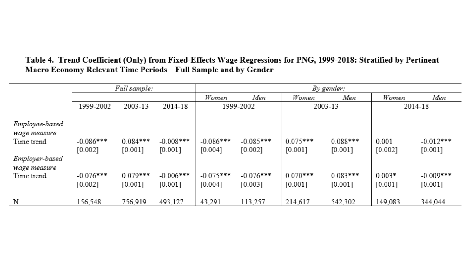|                                              | Full sample:             |                       |                         | By gender:             |                          |                       |                       |                     |                          |  |  |
|----------------------------------------------|--------------------------|-----------------------|-------------------------|------------------------|--------------------------|-----------------------|-----------------------|---------------------|--------------------------|--|--|
|                                              |                          |                       |                         | Women                  | Men                      | Women                 | Men                   | Women               | Men                      |  |  |
|                                              | 1999-2002                | 2003-13               | 2014-18                 |                        | 1999-2002                |                       | 2003-13               |                     | 2014-18                  |  |  |
| Employee-based<br>wage measure<br>Time trend | $-0.086***$<br>$[0.002]$ | $0.084***$<br>[0.001] | $-0.008$ ***<br>[0.001] | $-0.086***$<br>[0.004] | $-0.085***$<br>$[0.002]$ | $0.075***$<br>[0.001] | $0.088***$<br>[0.001] | 0.001<br>[0.002]    | $-0.012***$<br>[0.001]   |  |  |
| Employer-based<br>wage measure<br>Time trend | $-0.076***$<br>[0.002]   | $0.079***$<br>[0.001] | $-0.006$ ***<br>[0.001] | $-0.075***$<br>[0.004] | $-0.076***$<br>[0.003]   | $0.070***$<br>[0.001] | $0.083***$<br>[0.001] | $0.003*$<br>[0.001] | $-0.009***$<br>$[0.001]$ |  |  |
| Ν                                            | 156,548                  | 756,919               | 493,127                 | 43,291                 | 113,257                  | 214,617               | 542,302               | 149,083             | 344,044                  |  |  |

#### Table 4. Trend Coefficient (Only) from Fixed-Effects Wage Regressions for PNG, 1999-2018: Stratified by Pertinent Macro Economy Relevant Time Periods-Full Sample and by Gender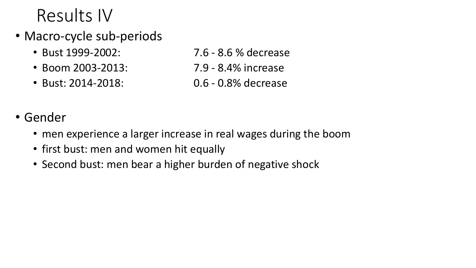## Results IV

- Macro-cycle sub-periods
	-
	- Boom 2003-2013: 7.9 8.4% increase
	-
	- Bust 1999-2002: 7.6 8.6 % decrease
		-
	- Bust: 2014-2018: 0.6 0.8% decrease
- Gender
	- men experience a larger increase in real wages during the boom
	- first bust: men and women hit equally
	- Second bust: men bear a higher burden of negative shock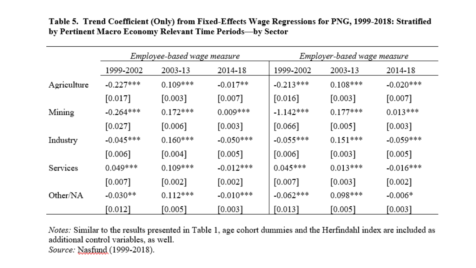|             |             | Employee-based wage measure |             |             | Employer-based wage measure |             |  |  |
|-------------|-------------|-----------------------------|-------------|-------------|-----------------------------|-------------|--|--|
|             | 1999-2002   | 2003-13<br>2014-18          |             | 1999-2002   | 2003-13                     | 2014-18     |  |  |
| Agriculture | $-0.227***$ | $0.109***$                  | $-0.017**$  | $-0.213***$ | $0.108***$                  | $-0.020***$ |  |  |
|             | $[0.017]$   | [0.003]                     | [0.007]     | $[0.016]$   | [0.003]                     | [0.007]     |  |  |
| Mining      | $-0.264***$ | $0.172***$                  | $0.009***$  | $-1.142***$ | $0.177***$                  | $0.013***$  |  |  |
|             | $[0.027]$   | $[0.006]$                   | [0.003]     | [0.066]     | [0.005]                     | [0.003]     |  |  |
| Industry    | $-0.045***$ | $0.160***$                  | $-0.050***$ | $-0.055***$ | $0.151***$                  | $-0.059***$ |  |  |
|             | $[0.006]$   | [0.004]                     | [0.005]     | [0.006]     | [0.003]                     | [0.005]     |  |  |
| Services    | $0.049***$  | $0.109***$                  | $-0.012***$ | $0.045***$  | $0.013***$                  | $-0.016***$ |  |  |
|             | $[0.007]$   | [0.002]                     | [0.002]     | $[0.007]$   | [0.003]                     | [0.002]     |  |  |
| Other/NA    | $-0.030**$  | $0.112***$                  | $-0.010***$ | $-0.062***$ | $0.098***$                  | $-0.006*$   |  |  |
|             | [0.012]     | [0.005]                     | [0.003]     | [0.013]     | [0.005]                     | [0.003]     |  |  |

Table 5. Trend Coefficient (Only) from Fixed-Effects Wage Regressions for PNG, 1999-2018: Stratified by Pertinent Macro Economy Relevant Time Periods-by Sector

Notes: Similar to the results presented in Table 1, age cohort dummies and the Herfindahl index are included as additional control variables, as well. Source: Nasfund (1999-2018).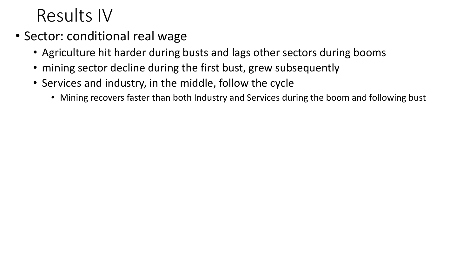## Results IV

- Sector: conditional real wage
	- Agriculture hit harder during busts and lags other sectors during booms
	- mining sector decline during the first bust, grew subsequently
	- Services and industry, in the middle, follow the cycle
		- Mining recovers faster than both Industry and Services during the boom and following bust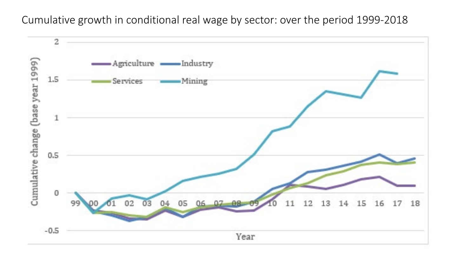Cumulative growth in conditional real wage by sector: over the period 1999-2018

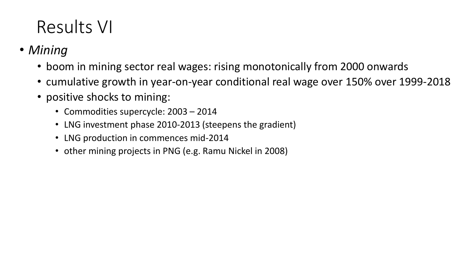## Results VI

- *Mining*
	- boom in mining sector real wages: rising monotonically from 2000 onwards
	- cumulative growth in year-on-year conditional real wage over 150% over 1999-2018
	- positive shocks to mining:
		- Commodities supercycle: 2003 2014
		- LNG investment phase 2010-2013 (steepens the gradient)
		- LNG production in commences mid-2014
		- other mining projects in PNG (e.g. Ramu Nickel in 2008)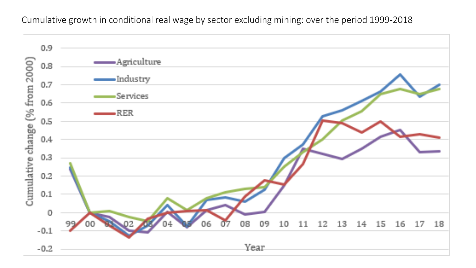Cumulative growth in conditional real wage by sector excluding mining: over the period 1999-2018

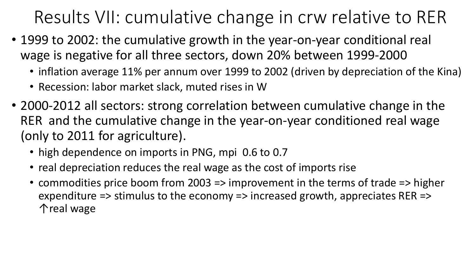Results VII: cumulative change in crw relative to RER

- 1999 to 2002: the cumulative growth in the year-on-year conditional real wage is negative for all three sectors, down 20% between 1999-2000
	- inflation average 11% per annum over 1999 to 2002 (driven by depreciation of the Kina)
	- Recession: labor market slack, muted rises in W
- 2000-2012 all sectors: strong correlation between cumulative change in the RER and the cumulative change in the year-on-year conditioned real wage (only to 2011 for agriculture).
	- high dependence on imports in PNG, mpi 0.6 to 0.7
	- real depreciation reduces the real wage as the cost of imports rise
	- commodities price boom from 2003 => improvement in the terms of trade => higher expenditure => stimulus to the economy => increased growth, appreciates RER => ↑real wage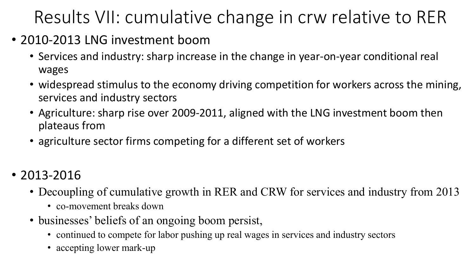# Results VII: cumulative change in crw relative to RER

- 2010-2013 LNG investment boom
	- Services and industry: sharp increase in the change in year-on-year conditional real wages
	- widespread stimulus to the economy driving competition for workers across the mining, services and industry sectors
	- Agriculture: sharp rise over 2009-2011, aligned with the LNG investment boom then plateaus from
	- agriculture sector firms competing for a different set of workers
- 2013-2016
	- Decoupling of cumulative growth in RER and CRW for services and industry from 2013
		- co-movement breaks down
	- businesses' beliefs of an ongoing boom persist,
		- continued to compete for labor pushing up real wages in services and industry sectors
		- accepting lower mark-up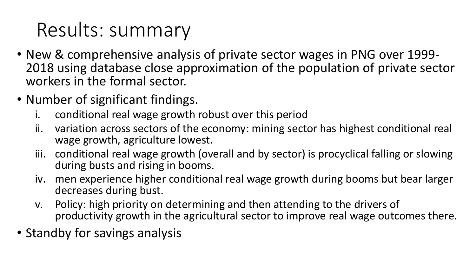# Results: summary

- New & comprehensive analysis of private sector wages in PNG over 1999- 2018 using database close approximation of the population of private sector workers in the formal sector.
- Number of significant findings.
	- i. conditional real wage growth robust over this period
	- ii. variation across sectors of the economy: mining sector has highest conditional real wage growth, agriculture lowest.
	- iii. conditional real wage growth (overall and by sector) is procyclical falling or slowing during busts and rising in booms.
	- iv. men experience higher conditional real wage growth during booms but bear larger decreases during bust.
	- v. Policy: high priority on determining and then attending to the drivers of productivity growth in the agricultural sector to improve real wage outcomes there.
- Standby for savings analysis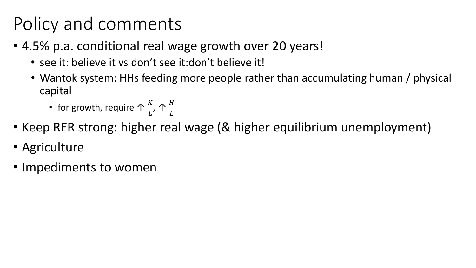# Policy and comments

- 4.5% p.a. conditional real wage growth over 20 years!
	- see it: believe it vs don't see it:don't believe it!
	- Wantok system: HHs feeding more people rather than accumulating human / physical capital
		- for growth, require  $\bigwedge \frac{K}{I}$  $\overline{L}$ ,  $\,\,\,\uparrow \frac{H}{I}$  $\overline{L}$
- Keep RER strong: higher real wage (& higher equilibrium unemployment)
- Agriculture
- Impediments to women